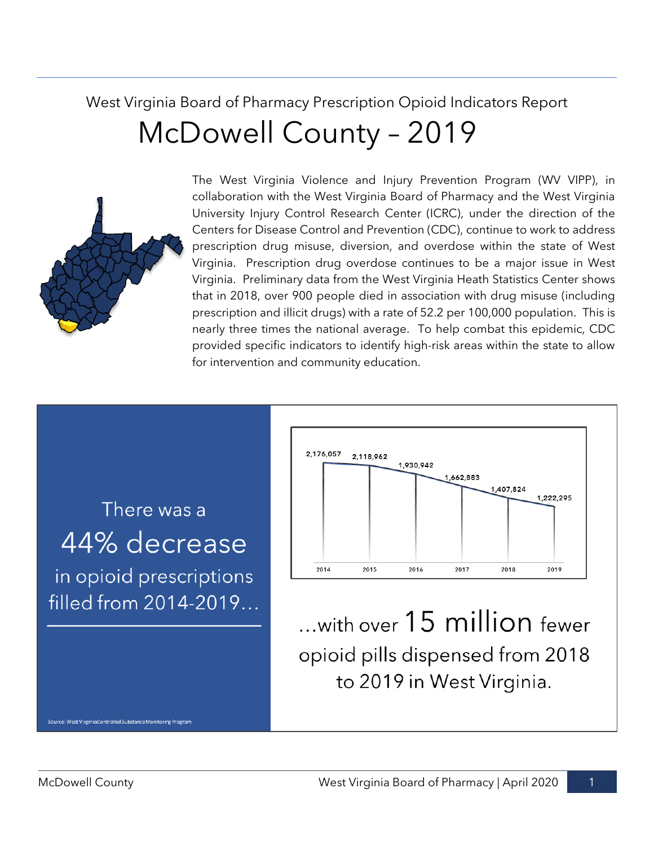# West Virginia Board of Pharmacy Prescription Opioid Indicators Report McDowell County – 2019



The West Virginia Violence and Injury Prevention Program (WV VIPP), in collaboration with the West Virginia Board of Pharmacy and the West Virginia University Injury Control Research Center (ICRC), under the direction of the Centers for Disease Control and Prevention (CDC), continue to work to address prescription drug misuse, diversion, and overdose within the state of West Virginia. Prescription drug overdose continues to be a major issue in West Virginia. Preliminary data from the West Virginia Heath Statistics Center shows that in 2018, over 900 people died in association with drug misuse (including prescription and illicit drugs) with a rate of 52.2 per 100,000 population. This is nearly three times the national average. To help combat this epidemic, CDC provided specific indicators to identify high-risk areas within the state to allow for intervention and community education.

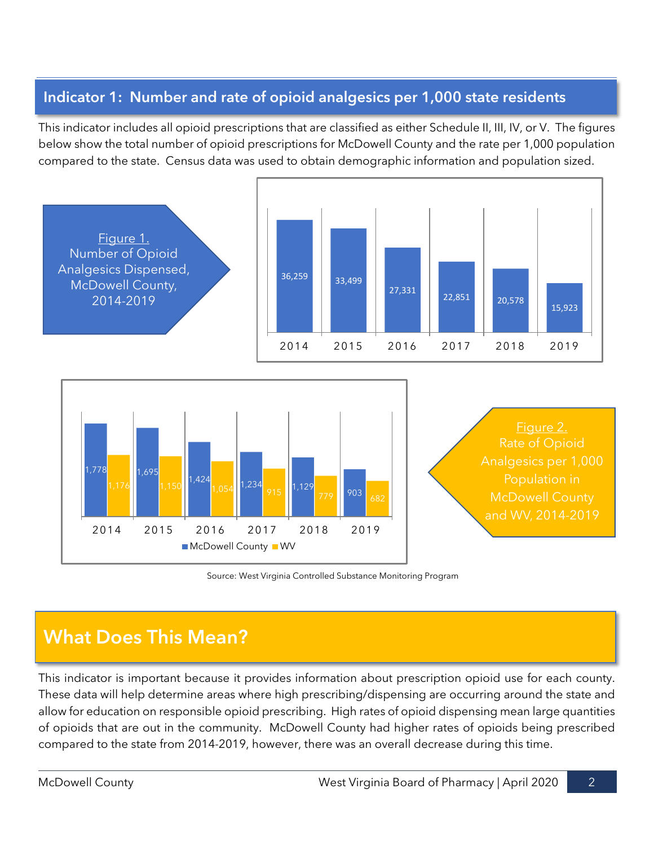#### **Indicator 1: Number and rate of opioid analgesics per 1,000 state residents**

This indicator includes all opioid prescriptions that are classified as either Schedule II, III, IV, or V. The figures below show the total number of opioid prescriptions for McDowell County and the rate per 1,000 population compared to the state. Census data was used to obtain demographic information and population sized.



Source: West Virginia Controlled Substance Monitoring Program

# **What Does This Mean?**

This indicator is important because it provides information about prescription opioid use for each county. These data will help determine areas where high prescribing/dispensing are occurring around the state and allow for education on responsible opioid prescribing. High rates of opioid dispensing mean large quantities of opioids that are out in the community. McDowell County had higher rates of opioids being prescribed compared to the state from 2014-2019, however, there was an overall decrease during this time.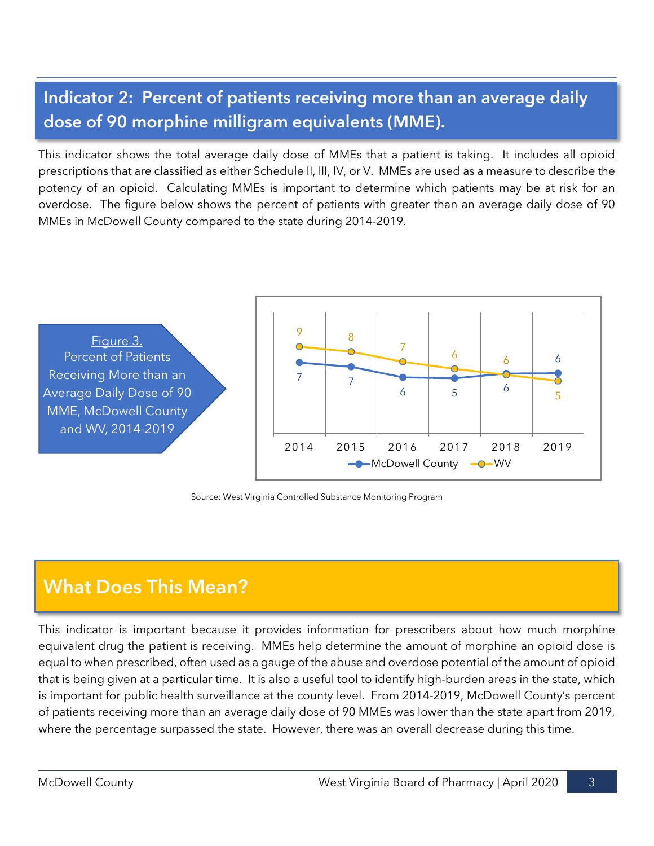# **Indicator 2: Percent of patients receiving more than an average daily dose of 90 morphine milligram equivalents (MME).**

This indicator shows the total average daily dose of MMEs that a patient is taking. It includes all opioid prescriptions that are classified as either Schedule II, III, IV, or V. MMEs are used as a measure to describe the potency of an opioid. Calculating MMEs is important to determine which patients may be at risk for an overdose. The figure below shows the percent of patients with greater than an average daily dose of 90 MMEs in McDowell County compared to the state during 2014-2019.



Source: West Virginia Controlled Substance Monitoring Program

# **What Does This Mean?**

This indicator is important because it provides information for prescribers about how much morphine equivalent drug the patient is receiving. MMEs help determine the amount of morphine an opioid dose is equal to when prescribed, often used as a gauge of the abuse and overdose potential of the amount of opioid that is being given at a particular time. It is also a useful tool to identify high-burden areas in the state, which is important for public health surveillance at the county level. From 2014-2019, McDowell County's percent of patients receiving more than an average daily dose of 90 MMEs was lower than the state apart from 2019, where the percentage surpassed the state. However, there was an overall decrease during this time.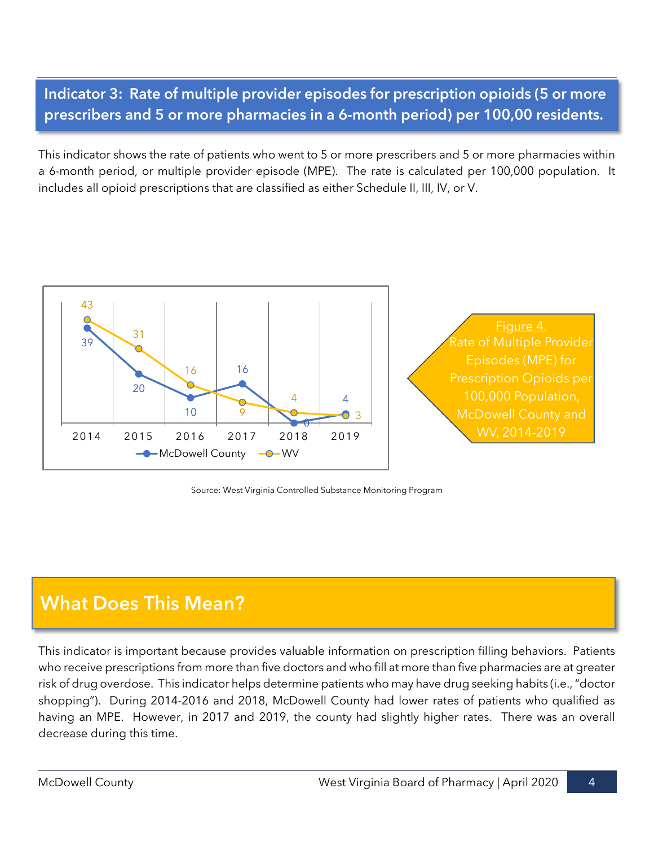### **Indicator 3: Rate of multiple provider episodes for prescription opioids (5 or more prescribers and 5 or more pharmacies in a 6-month period) per 100,00 residents.**

This indicator shows the rate of patients who went to 5 or more prescribers and 5 or more pharmacies within a 6-month period, or multiple provider episode (MPE). The rate is calculated per 100,000 population. It includes all opioid prescriptions that are classified as either Schedule II, III, IV, or V.



Source: West Virginia Controlled Substance Monitoring Program

# **What Does This Mean?**

This indicator is important because provides valuable information on prescription filling behaviors. Patients who receive prescriptions from more than five doctors and who fill at more than five pharmacies are at greater risk of drug overdose. This indicator helps determine patients who may have drug seeking habits (i.e.,"doctor shopping"). During 2014-2016 and 2018, McDowell County had lower rates of patients who qualified as having an MPE. However, in 2017 and 2019, the county had slightly higher rates. There was an overall decrease during this time.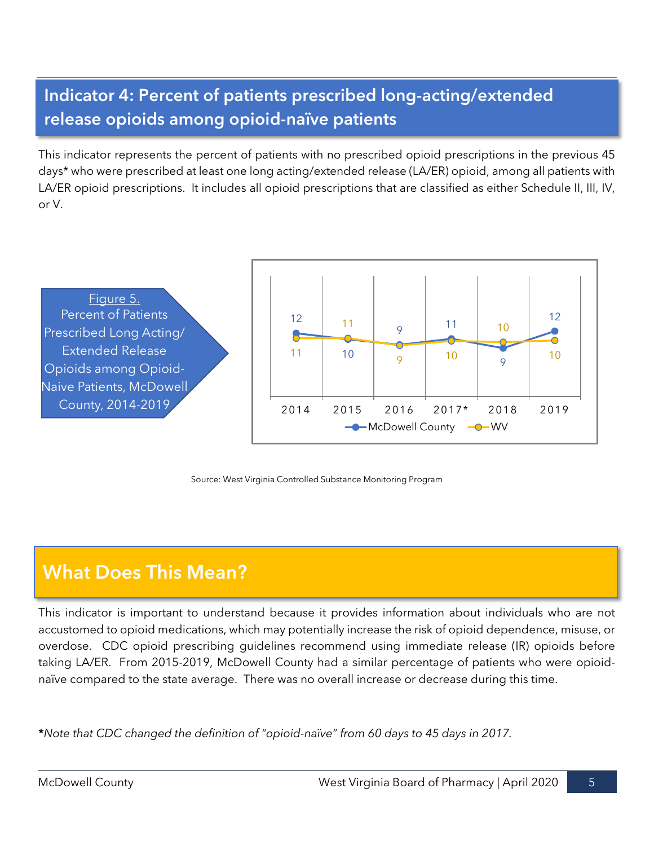# **Indicator 4: Percent of patients prescribed long-acting/extended release opioids among opioid-naïve patients**

This indicator represents the percent of patients with no prescribed opioid prescriptions in the previous 45 days\* who were prescribed at least one long acting/extended release (LA/ER) opioid, among all patients with LA/ER opioid prescriptions. It includes all opioid prescriptions that are classified as either Schedule II, III, IV, or V.



Source: West Virginia Controlled Substance Monitoring Program

# **What Does This Mean?**

This indicator is important to understand because it provides information about individuals who are not accustomed to opioid medications, which may potentially increase the risk of opioid dependence, misuse, or overdose. CDC opioid prescribing guidelines recommend using immediate release (IR) opioids before taking LA/ER. From 2015-2019, McDowell County had a similar percentage of patients who were opioidnaïve compared to the state average. There was no overall increase or decrease during this time.

**\****Note that CDC changed the definition of "opioid-naïve" from 60 days to 45 days in 2017.*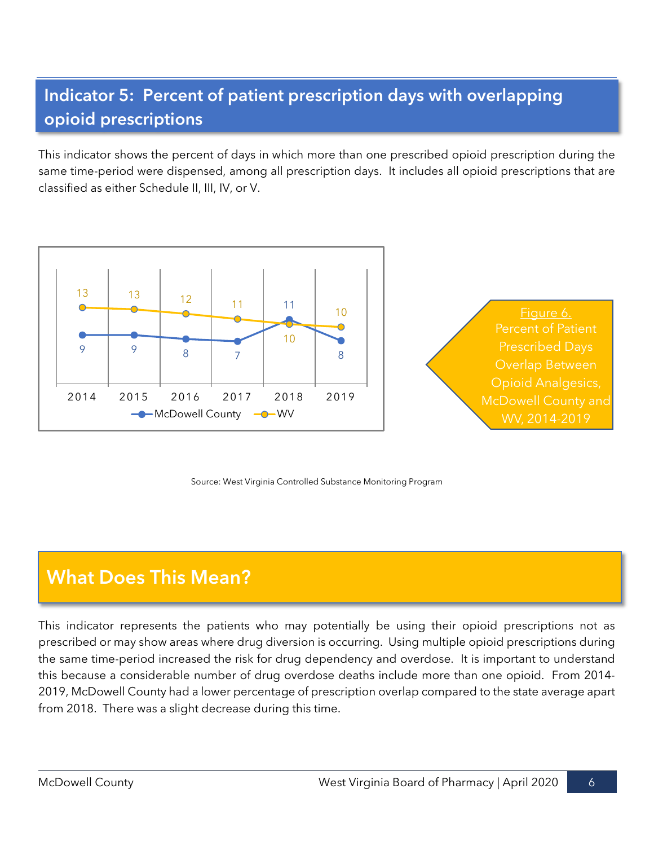# **Indicator 5: Percent of patient prescription days with overlapping opioid prescriptions**

This indicator shows the percent of days in which more than one prescribed opioid prescription during the same time-period were dispensed, among all prescription days. It includes all opioid prescriptions that are classified as either Schedule II, III, IV, or V.



Source: West Virginia Controlled Substance Monitoring Program

# **What Does This Mean?**

This indicator represents the patients who may potentially be using their opioid prescriptions not as prescribed or may show areas where drug diversion is occurring. Using multiple opioid prescriptions during the same time-period increased the risk for drug dependency and overdose. It is important to understand this because a considerable number of drug overdose deaths include more than one opioid. From 2014- 2019, McDowell County had a lower percentage of prescription overlap compared to the state average apart from 2018. There was a slight decrease during this time.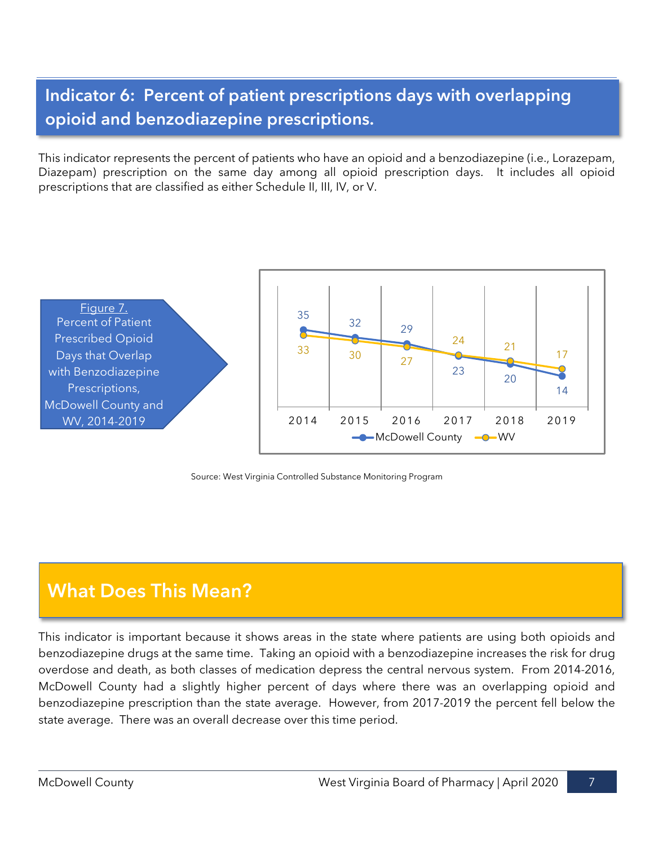## **Indicator 6: Percent of patient prescriptions days with overlapping opioid and benzodiazepine prescriptions.**

This indicator represents the percent of patients who have an opioid and a benzodiazepine (i.e., Lorazepam, Diazepam) prescription on the same day among all opioid prescription days. It includes all opioid prescriptions that are classified as either Schedule II, III, IV, or V.



Source: West Virginia Controlled Substance Monitoring Program

# **What Does This Mean?**

This indicator is important because it shows areas in the state where patients are using both opioids and benzodiazepine drugs at the same time. Taking an opioid with a benzodiazepine increases the risk for drug overdose and death, as both classes of medication depress the central nervous system. From 2014-2016, McDowell County had a slightly higher percent of days where there was an overlapping opioid and benzodiazepine prescription than the state average. However, from 2017-2019 the percent fell below the state average. There was an overall decrease over this time period.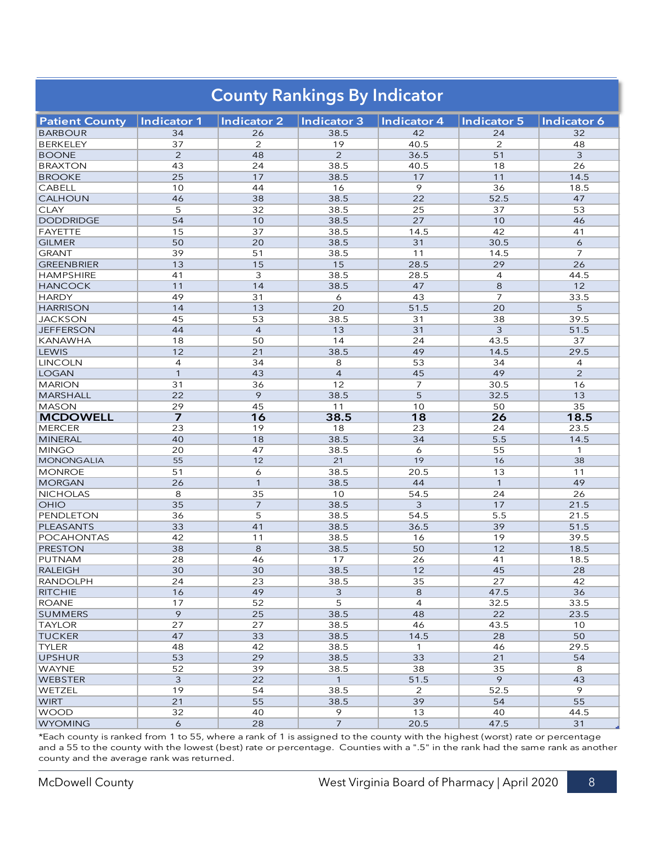| <b>County Rankings By Indicator</b> |                    |                    |                |                |                |                |
|-------------------------------------|--------------------|--------------------|----------------|----------------|----------------|----------------|
| <b>Patient County</b>               | <b>Indicator 1</b> | <b>Indicator 2</b> | Indicator 3    | Indicator 4    | Indicator 5    | Indicator 6    |
| <b>BARBOUR</b>                      | 34                 | 26                 | 38.5           | 42             | 24             | 32             |
| <b>BERKELEY</b>                     | 37                 | 2                  | 19             | 40.5           | 2              | 48             |
| <b>BOONE</b>                        | 2                  | 48                 | 2              | 36.5           | 51             | 3              |
| <b>BRAXTON</b>                      | 43                 | 24                 | 38.5           | 40.5           | 18             | 26             |
| <b>BROOKE</b>                       | 25                 | 17                 | 38.5           | 17             | 11             | 14.5           |
| <b>CABELL</b>                       | 10                 | 44                 | 16             | 9              | 36             | 18.5           |
| <b>CALHOUN</b>                      | 46                 | 38                 | 38.5           | 22             | 52.5           | 47             |
| <b>CLAY</b>                         | 5                  | 32                 | 38.5           | 25             | 37             | 53             |
| <b>DODDRIDGE</b>                    | 54                 | 10                 | 38.5           | 27             | 10             | 46             |
| FAYETTE                             | 15                 | 37                 | 38.5           | 14.5           | 42             | 41             |
| <b>GILMER</b>                       | 50                 | 20                 | 38.5           | 31             | 30.5           | 6              |
| <b>GRANT</b>                        | 39                 | 51                 | 38.5           | 11             | 14.5           | $\overline{7}$ |
| <b>GREENBRIER</b>                   | 13                 | 15                 | 15             | 28.5           | 29             | 26             |
| <b>HAMPSHIRE</b>                    | 41                 | 3                  | 38.5           | 28.5           | $\overline{4}$ | 44.5           |
| <b>HANCOCK</b>                      | 11                 | 14                 | 38.5           | 47             | 8              | 12             |
| <b>HARDY</b>                        | 49                 | 31                 | 6              | 43             | $\overline{7}$ | 33.5           |
| <b>HARRISON</b>                     | 14                 | 13                 | 20             | 51.5           | 20             | 5              |
| <b>JACKSON</b>                      | 45                 | 53                 | 38.5           | 31             | 38             | 39.5           |
| <b>JEFFERSON</b>                    | 44                 | $\overline{4}$     | 13             | 31             | 3              | 51.5           |
| KANAWHA                             | 18                 | 50                 | 14             | 24             | 43.5           | 37             |
| LEWIS                               | 12                 | 21                 | 38.5           | 49             | 14.5           | 29.5           |
| <b>LINCOLN</b>                      | $\overline{4}$     | 34                 | 8              | 53             | 34             | 4              |
| <b>LOGAN</b>                        | $\mathbf{1}$       | 43                 | $\overline{4}$ | 45             | 49             | $\overline{2}$ |
| <b>MARION</b>                       | 31                 | 36                 | 12             | $\overline{7}$ | 30.5           | 16             |
| <b>MARSHALL</b>                     | 22                 | 9                  | 38.5           | 5              | 32.5           | 13             |
| <b>MASON</b>                        | 29                 | 45                 | 11             | 10             | 50             | 35             |
| <b>MCDOWELL</b>                     | $\overline{z}$     | 16                 | 38.5           | 18             | 26             | 18.5           |
| <b>MERCER</b>                       | 23                 | 19                 | 18             | 23             | 24             | 23.5           |
| <b>MINERAL</b>                      | 40                 | 18                 | 38.5           | 34             | 5.5            | 14.5           |
| <b>MINGO</b>                        | 20                 | 47                 | 38.5           | 6              | 55             | 1              |
| MONONGALIA                          | 55                 | 12                 | 21             | 19             | 16             | 38             |
| <b>MONROE</b>                       | 51                 | 6                  | 38.5           | 20.5           | 13             | 11             |
| <b>MORGAN</b>                       | 26                 | $\mathbf{1}$       | 38.5           | 44             | $\mathbf{1}$   | 49             |
| <b>NICHOLAS</b>                     | 8                  | 35                 | 10             | 54.5           | 24             | 26             |
| OHIO                                | 35                 | $\overline{7}$     | 38.5           | 3              | 17             | 21.5           |
| PENDLETON                           | 36                 | 5                  | 38.5           | 54.5           | 5.5            | 21.5           |
| PLEASANTS                           | 33                 | 41                 | 38.5           | 36.5           | 39             | 51.5           |
| <b>POCAHONTAS</b>                   | 42                 | 11                 | 38.5           | 16             | 19             | 39.5           |
| <b>PRESTON</b>                      | 38                 | 8                  | 38.5           | 50             | 12             | 18.5           |
| PUTNAM                              | 28                 | 46                 | 17             | 26             | 41             | 18.5           |
| <b>RALEIGH</b>                      | 30                 | 30                 | 38.5           | 12             | 45             | 28             |
| <b>RANDOLPH</b>                     | 24                 | 23                 | 38.5           | 35             | 27             | 42             |
| <b>RITCHIE</b>                      | 16                 | 49                 | 3              | 8              | 47.5           | 36             |
| ROANE                               | 17                 | 52                 | 5              | 4              | 32.5           | 33.5           |
| <b>SUMMERS</b>                      | 9                  | 25                 | 38.5           | 48             | 22             | 23.5           |
| <b>TAYLOR</b>                       | 27                 | 27                 | 38.5           | 46             | 43.5           | 10             |
| <b>TUCKER</b>                       | 47                 | 33                 | 38.5           | 14.5           | 28             | 50             |
| <b>TYLER</b>                        | 48                 | 42                 | 38.5           | $\mathbf{1}$   | 46             | 29.5           |
| <b>UPSHUR</b>                       | 53                 | 29                 | 38.5           | 33             | 21             | 54             |
| <b>WAYNE</b>                        | 52                 | 39                 | 38.5           | 38             | 35             | 8              |
| <b>WEBSTER</b>                      | 3                  | 22                 | $\mathbf{1}$   | 51.5           | 9              | 43             |
| <b>WETZEL</b>                       | 19                 | 54                 | 38.5           | 2              | 52.5           | 9              |
| <b>WIRT</b>                         | 21                 | 55                 | 38.5           | 39             | 54             | 55             |
| <b>WOOD</b>                         | 32                 | 40                 | 9              | 13             | 40             | 44.5           |
| <b>WYOMING</b>                      | 6                  | 28                 | $\overline{7}$ | 20.5           | 47.5           | 31             |

\*Each county is ranked from 1 to 55, where a rank of 1 is assigned to the county with the highest (worst) rate or percentage and a 55 to the county with the lowest (best) rate or percentage. Counties with a ".5" in the rank had the same rank as another county and the average rank was returned.